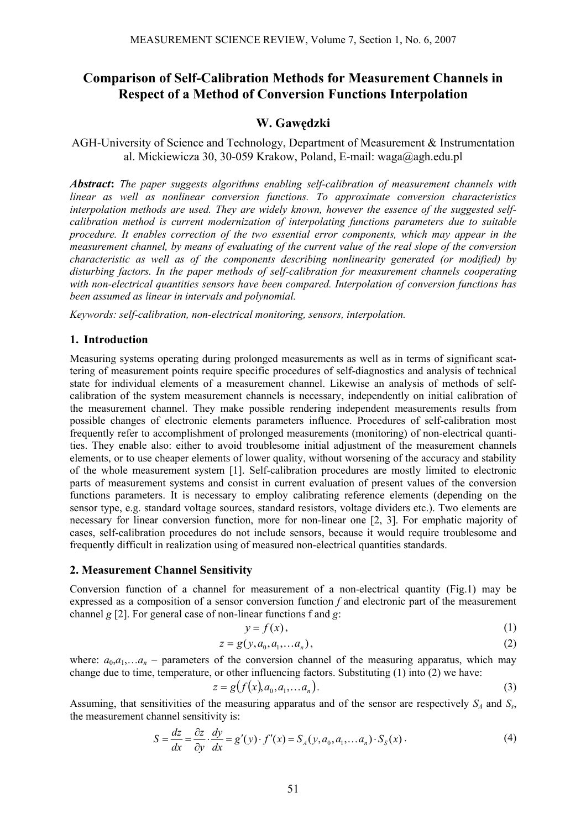# **Comparison of Self-Calibration Methods for Measurement Channels in Respect of a Method of Conversion Functions Interpolation**

# **W. Gawędzki**

# AGH-University of Science and Technology, Department of Measurement & Instrumentation al. Mickiewicza 30, 30-059 Krakow, Poland, E-mail: waga@agh.edu.pl

*Abstract***:** *The paper suggests algorithms enabling self-calibration of measurement channels with linear as well as nonlinear conversion functions. To approximate conversion characteristics interpolation methods are used. They are widely known, however the essence of the suggested selfcalibration method is current modernization of interpolating functions parameters due to suitable procedure. It enables correction of the two essential error components, which may appear in the measurement channel, by means of evaluating of the current value of the real slope of the conversion characteristic as well as of the components describing nonlinearity generated (or modified) by disturbing factors. In the paper methods of self-calibration for measurement channels cooperating with non-electrical quantities sensors have been compared. Interpolation of conversion functions has been assumed as linear in intervals and polynomial.*

*Keywords: self-calibration, non-electrical monitoring, sensors, interpolation.* 

#### **1. Introduction**

Measuring systems operating during prolonged measurements as well as in terms of significant scattering of measurement points require specific procedures of self-diagnostics and analysis of technical state for individual elements of a measurement channel. Likewise an analysis of methods of selfcalibration of the system measurement channels is necessary, independently on initial calibration of the measurement channel. They make possible rendering independent measurements results from possible changes of electronic elements parameters influence. Procedures of self-calibration most frequently refer to accomplishment of prolonged measurements (monitoring) of non-electrical quantities. They enable also: either to avoid troublesome initial adjustment of the measurement channels elements, or to use cheaper elements of lower quality, without worsening of the accuracy and stability of the whole measurement system [1]. Self-calibration procedures are mostly limited to electronic parts of measurement systems and consist in current evaluation of present values of the conversion functions parameters. It is necessary to employ calibrating reference elements (depending on the sensor type, e.g. standard voltage sources, standard resistors, voltage dividers etc.). Two elements are necessary for linear conversion function, more for non-linear one [2, 3]. For emphatic majority of cases, self-calibration procedures do not include sensors, because it would require troublesome and frequently difficult in realization using of measured non-electrical quantities standards.

#### **2. Measurement Channel Sensitivity**

Conversion function of a channel for measurement of a non-electrical quantity (Fig.1) may be expressed as a composition of a sensor conversion function *f* and electronic part of the measurement channel *g* [2]. For general case of non-linear functions f and *g*:

$$
y = f(x),\tag{1}
$$

$$
z = g(y, a_0, a_1, \dots, a_n),\tag{2}
$$

where:  $a_0, a_1, \ldots, a_n$  – parameters of the conversion channel of the measuring apparatus, which may change due to time, temperature, or other influencing factors. Substituting (1) into (2) we have:

$$
z = g(f(x), a_0, a_1, \dots a_n). \tag{3}
$$

Assuming, that sensitivities of the measuring apparatus and of the sensor are respectively  $S_A$  and  $S_S$ , the measurement channel sensitivity is:

$$
S = \frac{dz}{dx} = \frac{\partial z}{\partial y} \cdot \frac{dy}{dx} = g'(y) \cdot f'(x) = S_A(y, a_0, a_1, \dots, a_n) \cdot S_S(x) \,. \tag{4}
$$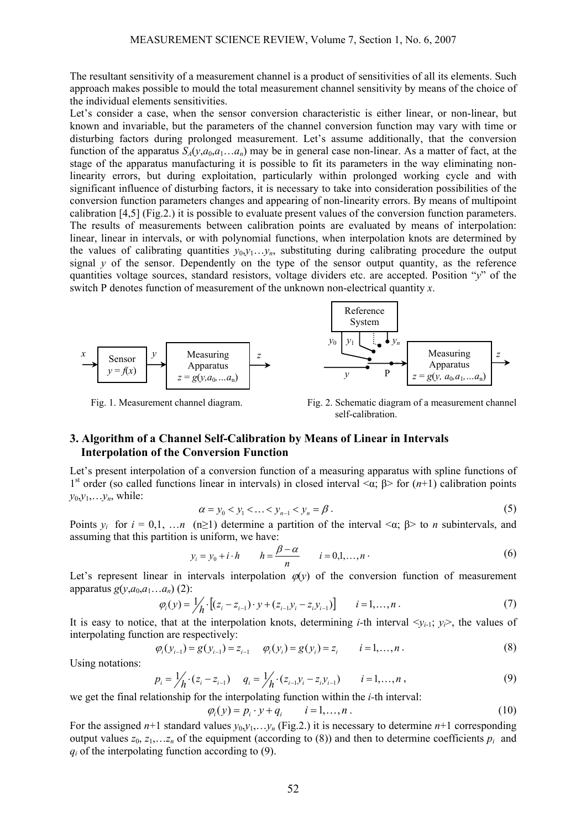The resultant sensitivity of a measurement channel is a product of sensitivities of all its elements. Such approach makes possible to mould the total measurement channel sensitivity by means of the choice of the individual elements sensitivities.

Let's consider a case, when the sensor conversion characteristic is either linear, or non-linear, but known and invariable, but the parameters of the channel conversion function may vary with time or disturbing factors during prolonged measurement. Let's assume additionally, that the conversion function of the apparatus  $S_A(y, a_0, a_1, \ldots, a_n)$  may be in general case non-linear. As a matter of fact, at the stage of the apparatus manufacturing it is possible to fit its parameters in the way eliminating nonlinearity errors, but during exploitation, particularly within prolonged working cycle and with significant influence of disturbing factors, it is necessary to take into consideration possibilities of the conversion function parameters changes and appearing of non-linearity errors. By means of multipoint calibration [4,5] (Fig.2.) it is possible to evaluate present values of the conversion function parameters. The results of measurements between calibration points are evaluated by means of interpolation: linear, linear in intervals, or with polynomial functions, when interpolation knots are determined by the values of calibrating quantities  $y_0, y_1, \ldots, y_n$ , substituting during calibrating procedure the output signal  $y$  of the sensor. Dependently on the type of the sensor output quantity, as the reference quantities voltage sources, standard resistors, voltage dividers etc. are accepted. Position "*y*" of the switch P denotes function of measurement of the unknown non-electrical quantity *x*.



Fig. 1. Measurement channel diagram. Fig. 2. Schematic diagram of a measurement channel self-calibration.

# **3. Algorithm of a Channel Self-Calibration by Means of Linear in Intervals Interpolation of the Conversion Function**

Let's present interpolation of a conversion function of a measuring apparatus with spline functions of 1st order (so called functions linear in intervals) in closed interval <α; β> for (*n*+1) calibration points  $y_0, y_1, \ldots, y_n$ , while:

$$
\alpha = y_0 < y_1 < \ldots < y_{n-1} < y_n = \beta \,. \tag{5}
$$

Points  $y_i$  for  $i = 0,1, \ldots, n$  (n>1) determine a partition of the interval  $\langle \alpha, \beta \rangle$  to *n* subintervals, and assuming that this partition is uniform, we have:

$$
y_i = y_0 + i \cdot h \qquad h = \frac{\beta - \alpha}{n} \qquad i = 0, 1, \dots, n \,.
$$

Let's represent linear in intervals interpolation  $\varphi(y)$  of the conversion function of measurement apparatus  $g(y, a_0, a_1, \ldots, a_n)$  (2):

$$
\varphi_i(y) = \frac{1}{h} \cdot \left[ (z_i - z_{i-1}) \cdot y + (z_{i-1}y_i - z_iy_{i-1}) \right] \qquad i = 1, \dots, n \tag{7}
$$

It is easy to notice, that at the interpolation knots, determining *i*-th interval  $\langle v_i, v_i \rangle$ , the values of interpolating function are respectively:

$$
\varphi_i(y_{i-1}) = g(y_{i-1}) = z_{i-1} \qquad \varphi_i(y_i) = g(y_i) = z_i \qquad i = 1, ..., n. \tag{8}
$$

Using notations:

$$
p_i = \frac{1}{h} \cdot (z_i - z_{i-1}) \qquad q_i = \frac{1}{h} \cdot (z_{i-1}y_i - z_iy_{i-1}) \qquad i = 1, ..., n \,, \tag{9}
$$

we get the final relationship for the interpolating function within the *i-*th interval:

$$
\varphi_i(y) = p_i \cdot y + q_i \qquad i = 1, \dots, n \tag{10}
$$

For the assigned  $n+1$  standard values  $y_0, y_1, \ldots, y_n$  (Fig.2.) it is necessary to determine  $n+1$  corresponding output values  $z_0, z_1, \ldots, z_n$  of the equipment (according to (8)) and then to determine coefficients  $p_i$  and *qi* of the interpolating function according to (9).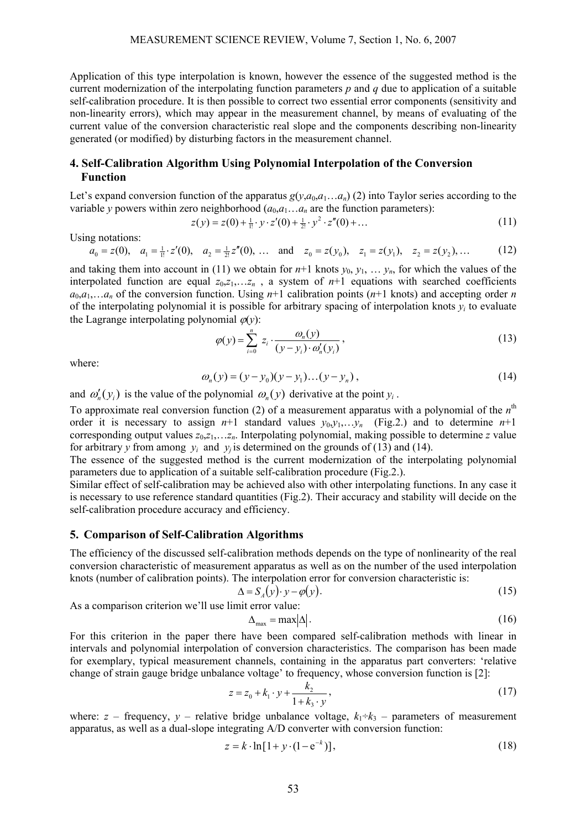Application of this type interpolation is known, however the essence of the suggested method is the current modernization of the interpolating function parameters *p* and *q* due to application of a suitable self-calibration procedure. It is then possible to correct two essential error components (sensitivity and non-linearity errors), which may appear in the measurement channel, by means of evaluating of the current value of the conversion characteristic real slope and the components describing non-linearity generated (or modified) by disturbing factors in the measurement channel.

# **4. Self-Calibration Algorithm Using Polynomial Interpolation of the Conversion Function**

Let's expand conversion function of the apparatus  $g(y,a_0,a_1...a_n)$  (2) into Taylor series according to the variable *y* powers within zero neighborhood  $(a_0, a_1, \ldots, a_n)$  are the function parameters):

$$
z(y) = z(0) + \frac{1}{1!} \cdot y \cdot z'(0) + \frac{1}{2!} \cdot y^2 \cdot z''(0) + \dots
$$
 (11)

Using notations:

$$
a_0 = z(0)
$$
,  $a_1 = \frac{1}{1!} \cdot z'(0)$ ,  $a_2 = \frac{1}{2!} z''(0)$ , ... and  $z_0 = z(y_0)$ ,  $z_1 = z(y_1)$ ,  $z_2 = z(y_2)$ , ... (12)

and taking them into account in (11) we obtain for  $n+1$  knots  $y_0, y_1, \ldots, y_n$ , for which the values of the interpolated function are equal  $z_0, z_1, \ldots, z_n$ , a system of  $n+1$  equations with searched coefficients  $a_0, a_1, \ldots, a_n$  of the conversion function. Using  $n+1$  calibration points ( $n+1$  knots) and accepting order *n* of the interpolating polynomial it is possible for arbitrary spacing of interpolation knots  $y_i$  to evaluate the Lagrange interpolating polynomial  $\varphi(y)$ :

$$
\varphi(y) = \sum_{i=0}^{n} z_i \cdot \frac{\omega_n(y)}{(y - y_i) \cdot \omega'_n(y_i)},
$$
\n(13)

where:

$$
\omega_n(y) = (y - y_0)(y - y_1)\dots(y - y_n),\tag{14}
$$

and  $\omega'_n(y_i)$  is the value of the polynomial  $\omega_n(y)$  derivative at the point  $y_i$ .

To approximate real conversion function (2) of a measurement apparatus with a polynomial of the  $n<sup>th</sup>$ order it is necessary to assign  $n+1$  standard values  $y_0, y_1, \ldots, y_n$  (Fig.2.) and to determine  $n+1$ corresponding output values *z*0,*z*1,…*zn*. Interpolating polynomial, making possible to determine *z* value for arbitrary *y* from among  $y_i$  and  $y_i$  is determined on the grounds of (13) and (14).

The essence of the suggested method is the current modernization of the interpolating polynomial parameters due to application of a suitable self-calibration procedure (Fig.2.).

Similar effect of self-calibration may be achieved also with other interpolating functions. In any case it is necessary to use reference standard quantities (Fig.2). Their accuracy and stability will decide on the self-calibration procedure accuracy and efficiency.

#### **5. Comparison of Self-Calibration Algorithms**

The efficiency of the discussed self-calibration methods depends on the type of nonlinearity of the real conversion characteristic of measurement apparatus as well as on the number of the used interpolation knots (number of calibration points). The interpolation error for conversion characteristic is:

$$
\Delta = S_A(y) \cdot y - \varphi(y). \tag{15}
$$

As a comparison criterion we'll use limit error value:

$$
\Delta_{\text{max}} = \text{max} |\Delta| \tag{16}
$$

For this criterion in the paper there have been compared self-calibration methods with linear in intervals and polynomial interpolation of conversion characteristics. The comparison has been made for exemplary, typical measurement channels, containing in the apparatus part converters: 'relative change of strain gauge bridge unbalance voltage' to frequency, whose conversion function is [2]:

$$
z = z_0 + k_1 \cdot y + \frac{k_2}{1 + k_3 \cdot y},\tag{17}
$$

where:  $z$  – frequency,  $y$  – relative bridge unbalance voltage,  $k_1 \div k_3$  – parameters of measurement apparatus, as well as a dual-slope integrating A/D converter with conversion function:

$$
z = k \cdot \ln[1 + y \cdot (1 - e^{-k})],\tag{18}
$$